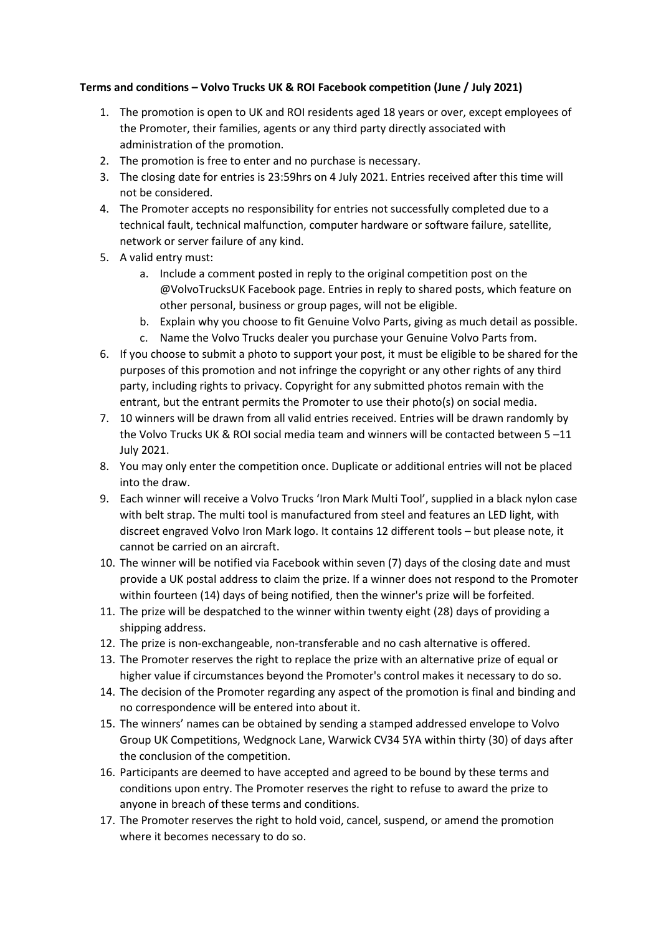## **Terms and conditions – Volvo Trucks UK & ROI Facebook competition (June / July 2021)**

- 1. The promotion is open to UK and ROI residents aged 18 years or over, except employees of the Promoter, their families, agents or any third party directly associated with administration of the promotion.
- 2. The promotion is free to enter and no purchase is necessary.
- 3. The closing date for entries is 23:59hrs on 4 July 2021. Entries received after this time will not be considered.
- 4. The Promoter accepts no responsibility for entries not successfully completed due to a technical fault, technical malfunction, computer hardware or software failure, satellite, network or server failure of any kind.
- 5. A valid entry must:
	- a. Include a comment posted in reply to the original competition post on the @VolvoTrucksUK Facebook page. Entries in reply to shared posts, which feature on other personal, business or group pages, will not be eligible.
	- b. Explain why you choose to fit Genuine Volvo Parts, giving as much detail as possible.
	- c. Name the Volvo Trucks dealer you purchase your Genuine Volvo Parts from.
- 6. If you choose to submit a photo to support your post, it must be eligible to be shared for the purposes of this promotion and not infringe the copyright or any other rights of any third party, including rights to privacy. Copyright for any submitted photos remain with the entrant, but the entrant permits the Promoter to use their photo(s) on social media.
- 7. 10 winners will be drawn from all valid entries received. Entries will be drawn randomly by the Volvo Trucks UK & ROI social media team and winners will be contacted between 5 –11 July 2021.
- 8. You may only enter the competition once. Duplicate or additional entries will not be placed into the draw.
- 9. Each winner will receive a Volvo Trucks 'Iron Mark Multi Tool', supplied in a black nylon case with belt strap. The multi tool is manufactured from steel and features an LED light, with discreet engraved Volvo Iron Mark logo. It contains 12 different tools – but please note, it cannot be carried on an aircraft.
- 10. The winner will be notified via Facebook within seven (7) days of the closing date and must provide a UK postal address to claim the prize. If a winner does not respond to the Promoter within fourteen (14) days of being notified, then the winner's prize will be forfeited.
- 11. The prize will be despatched to the winner within twenty eight (28) days of providing a shipping address.
- 12. The prize is non-exchangeable, non-transferable and no cash alternative is offered.
- 13. The Promoter reserves the right to replace the prize with an alternative prize of equal or higher value if circumstances beyond the Promoter's control makes it necessary to do so.
- 14. The decision of the Promoter regarding any aspect of the promotion is final and binding and no correspondence will be entered into about it.
- 15. The winners' names can be obtained by sending a stamped addressed envelope to Volvo Group UK Competitions, Wedgnock Lane, Warwick CV34 5YA within thirty (30) of days after the conclusion of the competition.
- 16. Participants are deemed to have accepted and agreed to be bound by these terms and conditions upon entry. The Promoter reserves the right to refuse to award the prize to anyone in breach of these terms and conditions.
- 17. The Promoter reserves the right to hold void, cancel, suspend, or amend the promotion where it becomes necessary to do so.